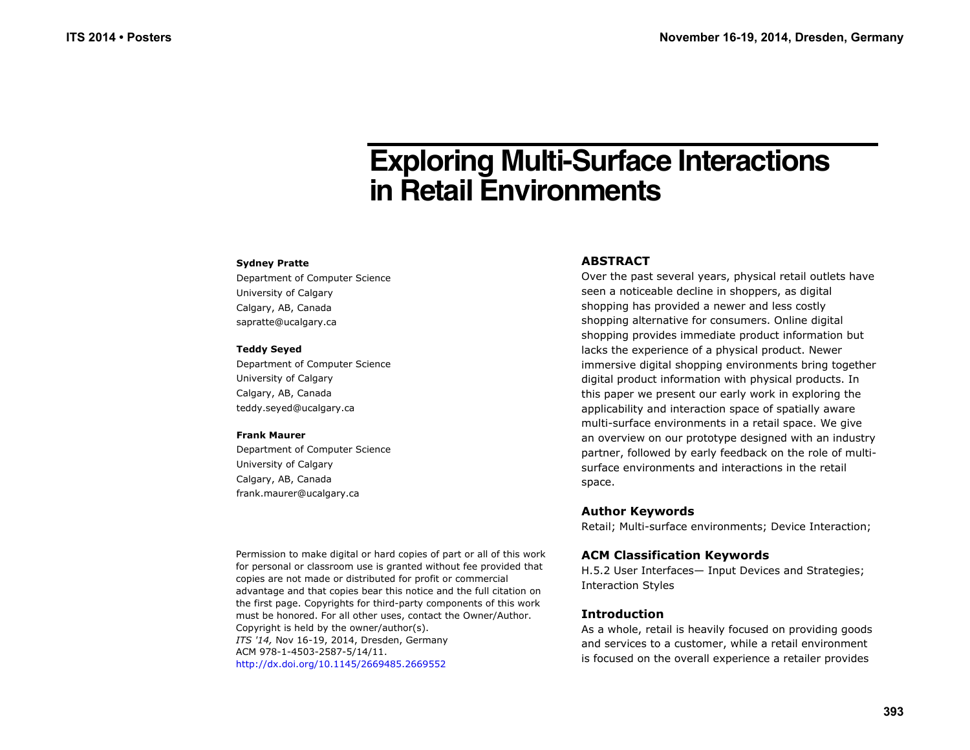# **Exploring Multi-Surface Interactions in Retail Environments**

#### **Sydney Pratte**

Department of Computer Science University of Calgary Calgary, AB, Canada sapratte@ucalgary.ca

#### **Teddy Seyed**

Department of Computer Science University of Calgary Calgary, AB, Canada teddy.seyed@ucalgary.ca

#### **Frank Maurer**

Department of Computer Science University of Calgary Calgary, AB, Canada frank.maurer@ucalgary.ca

Permission to make digital or hard copies of part or all of this work for personal or classroom use is granted without fee provided that copies are not made or distributed for profit or commercial advantage and that copies bear this notice and the full citation on the first page. Copyrights for third-party components of this work must be honored. For all other uses, contact the Owner/Author. Copyright is held by the owner/author(s). *ITS '14,* Nov 16-19, 2014, Dresden, Germany ACM 978-1-4503-2587-5/14/11. http://dx.doi.org/10.1145/2669485.2669552

## **ABSTRACT**

Over the past several years, physical retail outlets have seen a noticeable decline in shoppers, as digital shopping has provided a newer and less costly shopping alternative for consumers. Online digital shopping provides immediate product information but lacks the experience of a physical product. Newer immersive digital shopping environments bring together digital product information with physical products. In this paper we present our early work in exploring the applicability and interaction space of spatially aware multi-surface environments in a retail space. We give an overview on our prototype designed with an industry partner, followed by early feedback on the role of multisurface environments and interactions in the retail space.

## **Author Keywords**

Retail; Multi-surface environments; Device Interaction;

## **ACM Classification Keywords**

H.5.2 User Interfaces— Input Devices and Strategies; Interaction Styles

## **Introduction**

As a whole, retail is heavily focused on providing goods and services to a customer, while a retail environment is focused on the overall experience a retailer provides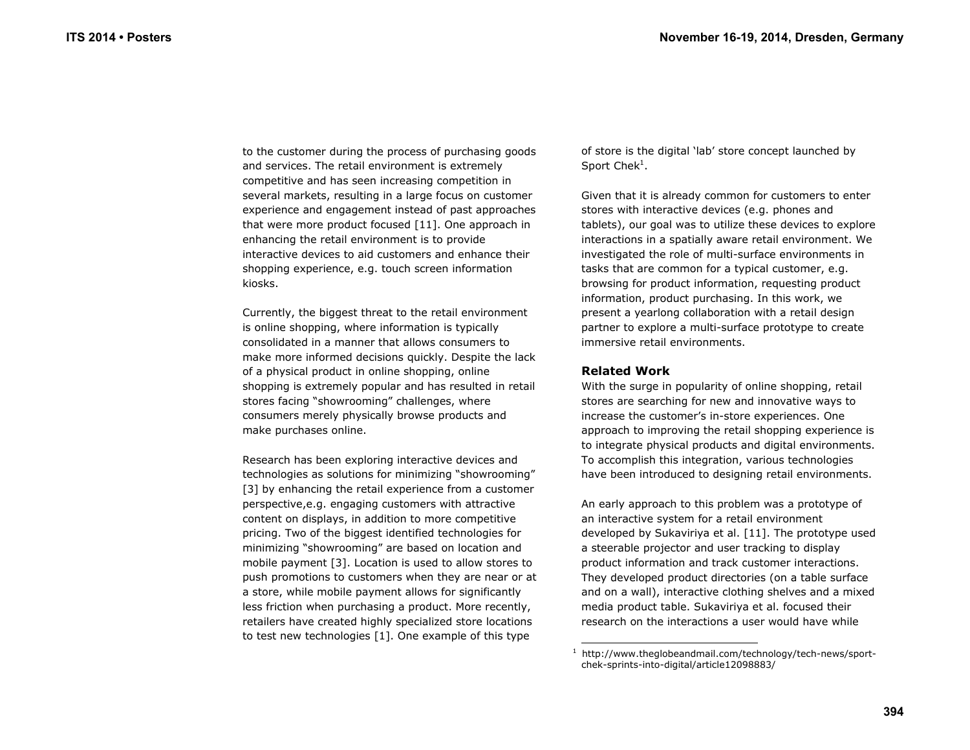to the customer during the process of purchasing goods and services. The retail environment is extremely competitive and has seen increasing competition in several markets, resulting in a large focus on customer experience and engagement instead of past approaches that were more product focused [11]. One approach in enhancing the retail environment is to provide interactive devices to aid customers and enhance their shopping experience, e.g. touch screen information kiosks.

Currently, the biggest threat to the retail environment is online shopping, where information is typically consolidated in a manner that allows consumers to make more informed decisions quickly. Despite the lack of a physical product in online shopping, online shopping is extremely popular and has resulted in retail stores facing "showrooming" challenges, where consumers merely physically browse products and make purchases online.

Research has been exploring interactive devices and technologies as solutions for minimizing "showrooming" [3] by enhancing the retail experience from a customer perspective,e.g. engaging customers with attractive content on displays, in addition to more competitive pricing. Two of the biggest identified technologies for minimizing "showrooming" are based on location and mobile payment [3]. Location is used to allow stores to push promotions to customers when they are near or at a store, while mobile payment allows for significantly less friction when purchasing a product. More recently, retailers have created highly specialized store locations to test new technologies [1]. One example of this type

of store is the digital 'lab' store concept launched by Sport  $Chek<sup>1</sup>$ .

Given that it is already common for customers to enter stores with interactive devices (e.g. phones and tablets), our goal was to utilize these devices to explore interactions in a spatially aware retail environment. We investigated the role of multi-surface environments in tasks that are common for a typical customer, e.g. browsing for product information, requesting product information, product purchasing. In this work, we present a yearlong collaboration with a retail design partner to explore a multi-surface prototype to create immersive retail environments.

## **Related Work**

With the surge in popularity of online shopping, retail stores are searching for new and innovative ways to increase the customer's in-store experiences. One approach to improving the retail shopping experience is to integrate physical products and digital environments. To accomplish this integration, various technologies have been introduced to designing retail environments.

An early approach to this problem was a prototype of an interactive system for a retail environment developed by Sukaviriya et al. [11]. The prototype used a steerable projector and user tracking to display product information and track customer interactions. They developed product directories (on a table surface and on a wall), interactive clothing shelves and a mixed media product table. Sukaviriya et al. focused their research on the interactions a user would have while

 $1$  http://www.theglobeandmail.com/technology/tech-news/sportchek-sprints-into-digital/article12098883/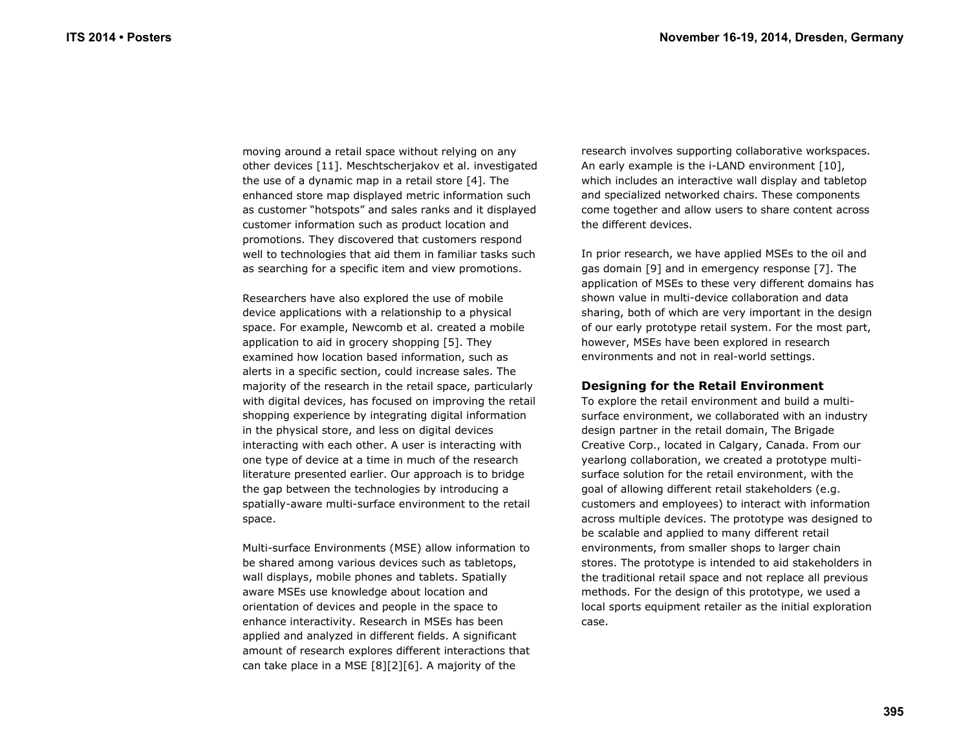moving around a retail space without relying on any other devices [11]. Meschtscherjakov et al. investigated the use of a dynamic map in a retail store [4]. The enhanced store map displayed metric information such as customer "hotspots" and sales ranks and it displayed customer information such as product location and promotions. They discovered that customers respond well to technologies that aid them in familiar tasks such as searching for a specific item and view promotions.

Researchers have also explored the use of mobile device applications with a relationship to a physical space. For example, Newcomb et al. created a mobile application to aid in grocery shopping [5]. They examined how location based information, such as alerts in a specific section, could increase sales. The majority of the research in the retail space, particularly with digital devices, has focused on improving the retail shopping experience by integrating digital information in the physical store, and less on digital devices interacting with each other. A user is interacting with one type of device at a time in much of the research literature presented earlier. Our approach is to bridge the gap between the technologies by introducing a spatially-aware multi-surface environment to the retail space.

Multi-surface Environments (MSE) allow information to be shared among various devices such as tabletops, wall displays, mobile phones and tablets. Spatially aware MSEs use knowledge about location and orientation of devices and people in the space to enhance interactivity. Research in MSEs has been applied and analyzed in different fields. A significant amount of research explores different interactions that can take place in a MSE [8][2][6]. A majority of the

research involves supporting collaborative workspaces. An early example is the i-LAND environment [10], which includes an interactive wall display and tabletop and specialized networked chairs. These components come together and allow users to share content across the different devices.

In prior research, we have applied MSEs to the oil and gas domain [9] and in emergency response [7]. The application of MSEs to these very different domains has shown value in multi-device collaboration and data sharing, both of which are very important in the design of our early prototype retail system. For the most part, however, MSEs have been explored in research environments and not in real-world settings.

## **Designing for the Retail Environment**

To explore the retail environment and build a multisurface environment, we collaborated with an industry design partner in the retail domain, The Brigade Creative Corp., located in Calgary, Canada. From our yearlong collaboration, we created a prototype multisurface solution for the retail environment, with the goal of allowing different retail stakeholders (e.g. customers and employees) to interact with information across multiple devices. The prototype was designed to be scalable and applied to many different retail environments, from smaller shops to larger chain stores. The prototype is intended to aid stakeholders in the traditional retail space and not replace all previous methods. For the design of this prototype, we used a local sports equipment retailer as the initial exploration case.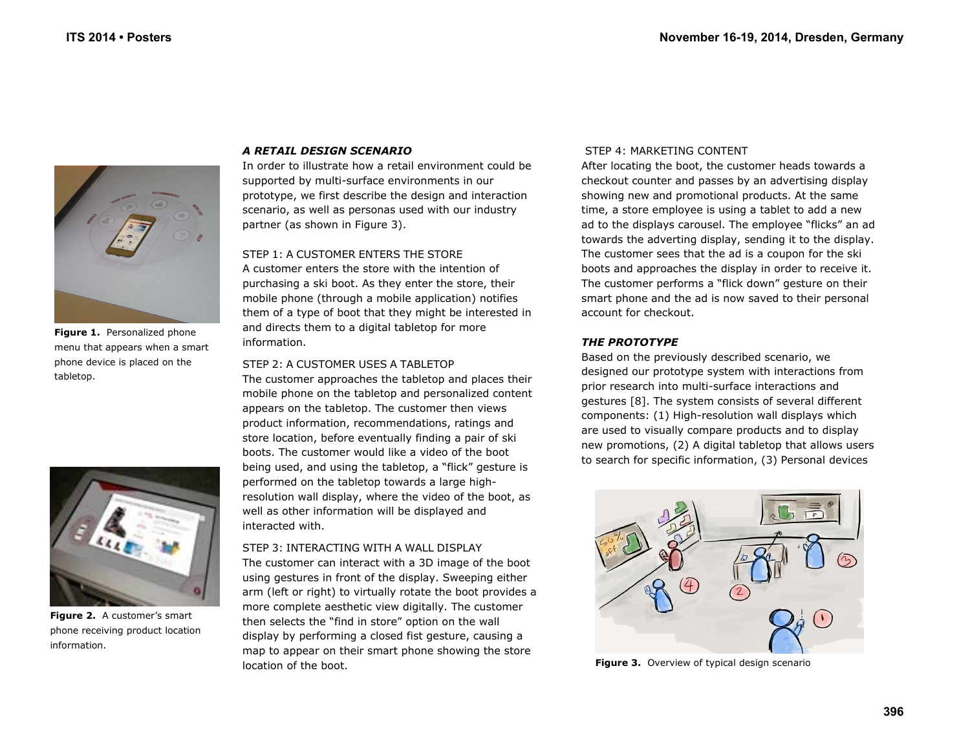

**Figure 1.** Personalized phone menu that appears when a smart phone device is placed on the tabletop.



**Figure 2.** A customer's smart phone receiving product location information.

## *A RETAIL DESIGN SCENARIO*

In order to illustrate how a retail environment could be supported by multi-surface environments in our prototype, we first describe the design and interaction scenario, as well as personas used with our industry partner (as shown in Figure 3).

#### STEP 1: A CUSTOMER ENTERS THE STORE

A customer enters the store with the intention of purchasing a ski boot. As they enter the store, their mobile phone (through a mobile application) notifies them of a type of boot that they might be interested in and directs them to a digital tabletop for more information.

#### STEP 2: A CUSTOMER USES A TABLETOP

The customer approaches the tabletop and places their mobile phone on the tabletop and personalized content appears on the tabletop. The customer then views product information, recommendations, ratings and store location, before eventually finding a pair of ski boots. The customer would like a video of the boot being used, and using the tabletop, a "flick" gesture is performed on the tabletop towards a large highresolution wall display, where the video of the boot, as well as other information will be displayed and interacted with.

STEP 3: INTERACTING WITH A WALL DISPLAY The customer can interact with a 3D image of the boot using gestures in front of the display. Sweeping either arm (left or right) to virtually rotate the boot provides a more complete aesthetic view digitally. The customer then selects the "find in store" option on the wall display by performing a closed fist gesture, causing a map to appear on their smart phone showing the store location of the boot.

#### STEP 4: MARKETING CONTENT

After locating the boot, the customer heads towards a checkout counter and passes by an advertising display showing new and promotional products. At the same time, a store employee is using a tablet to add a new ad to the displays carousel. The employee "flicks" an ad towards the adverting display, sending it to the display. The customer sees that the ad is a coupon for the ski boots and approaches the display in order to receive it. The customer performs a "flick down" gesture on their smart phone and the ad is now saved to their personal account for checkout.

#### *THE PROTOTYPE*

Based on the previously described scenario, we designed our prototype system with interactions from prior research into multi-surface interactions and gestures [8]. The system consists of several different components: (1) High-resolution wall displays which are used to visually compare products and to display new promotions, (2) A digital tabletop that allows users to search for specific information, (3) Personal devices



**Figure 3.** Overview of typical design scenario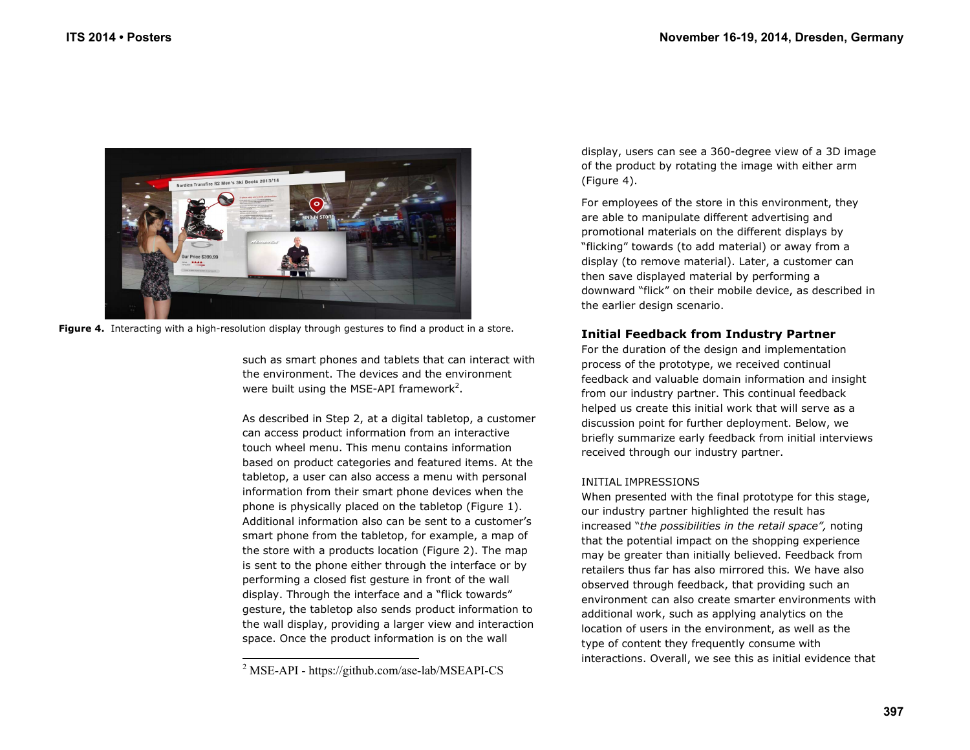

**Figure 4.** Interacting with a high-resolution display through gestures to find a product in a store.

such as smart phones and tablets that can interact with the environment. The devices and the environment were built using the MSE-API framework<sup>2</sup>.

As described in Step 2, at a digital tabletop, a customer can access product information from an interactive touch wheel menu. This menu contains information based on product categories and featured items. At the tabletop, a user can also access a menu with personal information from their smart phone devices when the phone is physically placed on the tabletop (Figure 1). Additional information also can be sent to a customer's smart phone from the tabletop, for example, a map of the store with a products location (Figure 2). The map is sent to the phone either through the interface or by performing a closed fist gesture in front of the wall display. Through the interface and a "flick towards" gesture, the tabletop also sends product information to the wall display, providing a larger view and interaction space. Once the product information is on the wall

display, users can see a 360-degree view of a 3D image of the product by rotating the image with either arm (Figure 4).

For employees of the store in this environment, they are able to manipulate different advertising and promotional materials on the different displays by "flicking" towards (to add material) or away from a display (to remove material). Later, a customer can then save displayed material by performing a downward "flick" on their mobile device, as described in the earlier design scenario.

# **Initial Feedback from Industry Partner**

For the duration of the design and implementation process of the prototype, we received continual feedback and valuable domain information and insight from our industry partner. This continual feedback helped us create this initial work that will serve as a discussion point for further deployment. Below, we briefly summarize early feedback from initial interviews received through our industry partner.

## INITIAL IMPRESSIONS

When presented with the final prototype for this stage, our industry partner highlighted the result has increased "*the possibilities in the retail space",* noting that the potential impact on the shopping experience may be greater than initially believed. Feedback from retailers thus far has also mirrored this*.* We have also observed through feedback, that providing such an environment can also create smarter environments with additional work, such as applying analytics on the location of users in the environment, as well as the type of content they frequently consume with interactions. Overall, we see this as initial evidence that

<sup>&</sup>lt;sup>2</sup> MSE-API - https://github.com/ase-lab/MSEAPI-CS